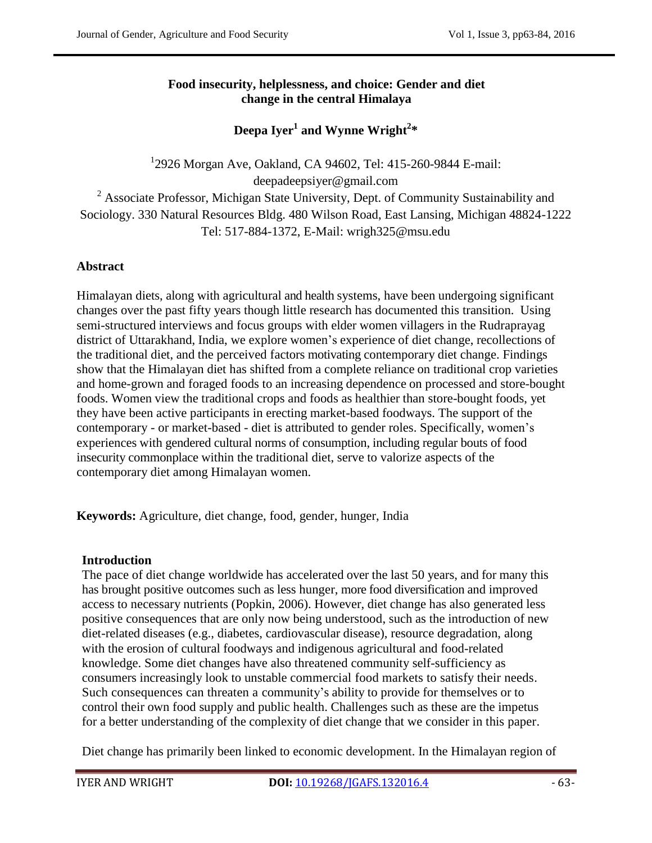## **Food insecurity, helplessness, and choice: Gender and diet change in the central Himalaya**

**Deepa Iyer<sup>1</sup> and Wynne Wright<sup>2</sup> \***

1 2926 Morgan Ave, Oakland, CA 94602, Tel: 415-260-9844 E-mail: deepadeepsiyer@gmail.com <sup>2</sup> Associate Professor, Michigan State University, Dept. of Community Sustainability and Sociology. 330 Natural Resources Bldg. 480 Wilson Road, East Lansing, Michigan 48824-1222 Tel: 517-884-1372, E-Mail: wrigh325@msu.edu

# **Abstract**

Himalayan diets, along with agricultural and health systems, have been undergoing significant changes over the past fifty years though little research has documented this transition. Using semi-structured interviews and focus groups with elder women villagers in the Rudraprayag district of Uttarakhand, India, we explore women's experience of diet change, recollections of the traditional diet, and the perceived factors motivating contemporary diet change. Findings show that the Himalayan diet has shifted from a complete reliance on traditional crop varieties and home-grown and foraged foods to an increasing dependence on processed and store-bought foods. Women view the traditional crops and foods as healthier than store-bought foods, yet they have been active participants in erecting market-based foodways. The support of the contemporary - or market-based - diet is attributed to gender roles. Specifically, women's experiences with gendered cultural norms of consumption, including regular bouts of food insecurity commonplace within the traditional diet, serve to valorize aspects of the contemporary diet among Himalayan women.

**Keywords:** Agriculture, diet change, food, gender, hunger, India

## **Introduction**

The pace of diet change worldwide has accelerated over the last 50 years, and for many this has brought positive outcomes such as less hunger, more food diversification and improved access to necessary nutrients (Popkin, 2006). However, diet change has also generated less positive consequences that are only now being understood, such as the introduction of new diet-related diseases (e.g., diabetes, cardiovascular disease), resource degradation, along with the erosion of cultural foodways and indigenous agricultural and food-related knowledge. Some diet changes have also threatened community self-sufficiency as consumers increasingly look to unstable commercial food markets to satisfy their needs. Such consequences can threaten a community's ability to provide for themselves or to control their own food supply and public health. Challenges such as these are the impetus for a better understanding of the complexity of diet change that we consider in this paper.

Diet change has primarily been linked to economic development. In the Himalayan region of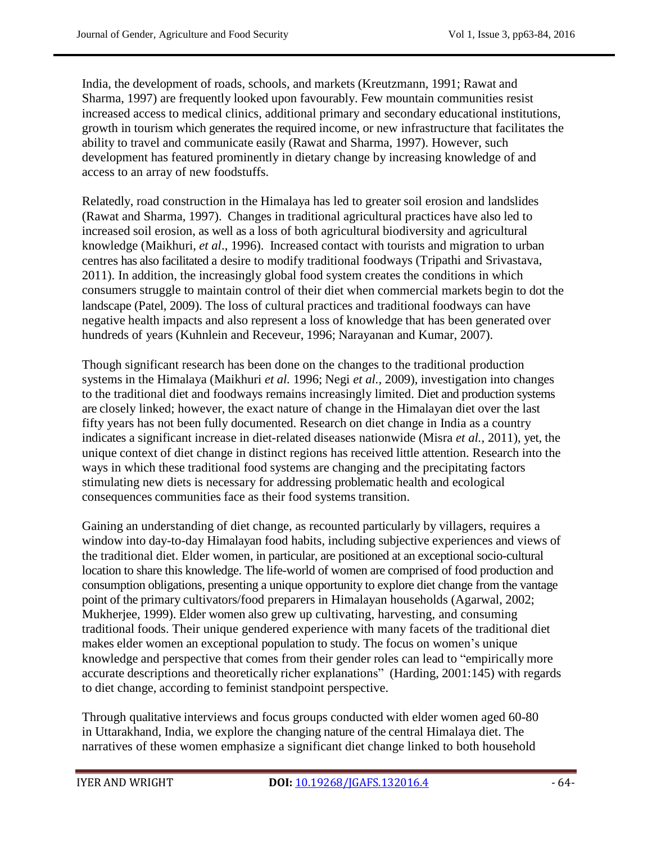India, the development of roads, schools, and markets (Kreutzmann, 1991; Rawat and Sharma, 1997) are frequently looked upon favourably. Few mountain communities resist increased access to medical clinics, additional primary and secondary educational institutions, growth in tourism which generates the required income, or new infrastructure that facilitates the ability to travel and communicate easily (Rawat and Sharma, 1997). However, such development has featured prominently in dietary change by increasing knowledge of and access to an array of new foodstuffs.

Relatedly, road construction in the Himalaya has led to greater soil erosion and landslides (Rawat and Sharma, 1997). Changes in traditional agricultural practices have also led to increased soil erosion, as well as a loss of both agricultural biodiversity and agricultural knowledge (Maikhuri, *et al*., 1996). Increased contact with tourists and migration to urban centres has also facilitated a desire to modify traditional foodways (Tripathi and Srivastava, 2011). In addition, the increasingly global food system creates the conditions in which consumers struggle to maintain control of their diet when commercial markets begin to dot the landscape (Patel, 2009). The loss of cultural practices and traditional foodways can have negative health impacts and also represent a loss of knowledge that has been generated over hundreds of years (Kuhnlein and Receveur, 1996; Narayanan and Kumar, 2007).

Though significant research has been done on the changes to the traditional production systems in the Himalaya (Maikhuri *et al.* 1996; Negi *et al.,* 2009), investigation into changes to the traditional diet and foodways remains increasingly limited. Diet and production systems are closely linked; however, the exact nature of change in the Himalayan diet over the last fifty years has not been fully documented. Research on diet change in India as a country indicates a significant increase in diet-related diseases nationwide (Misra *et al.,* 2011), yet, the unique context of diet change in distinct regions has received little attention. Research into the ways in which these traditional food systems are changing and the precipitating factors stimulating new diets is necessary for addressing problematic health and ecological consequences communities face as their food systems transition.

Gaining an understanding of diet change, as recounted particularly by villagers, requires a window into day-to-day Himalayan food habits, including subjective experiences and views of the traditional diet. Elder women, in particular, are positioned at an exceptional socio-cultural location to share this knowledge. The life-world of women are comprised of food production and consumption obligations, presenting a unique opportunity to explore diet change from the vantage point of the primary cultivators/food preparers in Himalayan households (Agarwal, 2002; Mukherjee, 1999). Elder women also grew up cultivating, harvesting, and consuming traditional foods. Their unique gendered experience with many facets of the traditional diet makes elder women an exceptional population to study. The focus on women's unique knowledge and perspective that comes from their gender roles can lead to "empirically more accurate descriptions and theoretically richer explanations" (Harding, 2001:145) with regards to diet change, according to feminist standpoint perspective.

Through qualitative interviews and focus groups conducted with elder women aged 60-80 in Uttarakhand, India, we explore the changing nature of the central Himalaya diet. The narratives of these women emphasize a significant diet change linked to both household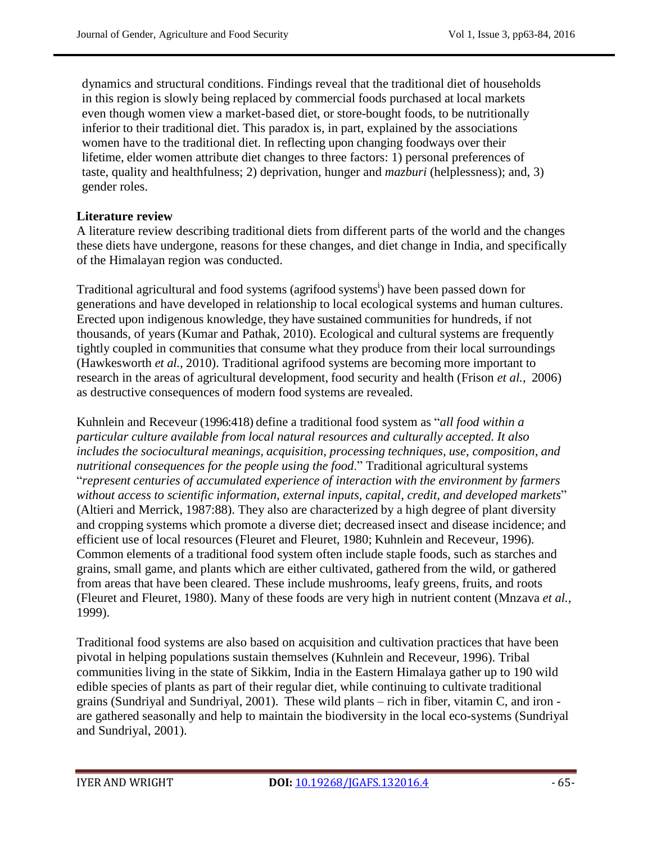dynamics and structural conditions. Findings reveal that the traditional diet of households in this region is slowly being replaced by commercial foods purchased at local markets even though women view a market-based diet, or store-bought foods, to be nutritionally inferior to their traditional diet. This paradox is, in part, explained by the associations women have to the traditional diet. In reflecting upon changing foodways over their lifetime, elder women attribute diet changes to three factors: 1) personal preferences of taste, quality and healthfulness; 2) deprivation, hunger and *mazburi* (helplessness); and, 3) gender roles.

#### **Literature review**

A literature review describing traditional diets from different parts of the world and the changes these diets have undergone, reasons for these changes, and diet change in India, and specifically of the Himalayan region was conducted.

Traditional agricultural and food systems (agrifood systems<sup>i</sup>) have been passed down for generations and have developed in relationship to local ecological systems and human cultures. Erected upon indigenous knowledge, they have sustained communities for hundreds, if not thousands, of years (Kumar and Pathak, 2010). Ecological and cultural systems are frequently tightly coupled in communities that consume what they produce from their local surroundings (Hawkesworth *et al.,* 2010). Traditional agrifood systems are becoming more important to research in the areas of agricultural development, food security and health (Frison *et al.*, 2006) as destructive consequences of modern food systems are revealed.

Kuhnlein and Receveur (1996:418) define a traditional food system as "all food within a *particular culture available from local natural resources and culturally accepted. It also includes the sociocultural meanings, acquisition, processing techniques, use, composition, and nutritional consequences for the people using the food*.‖ Traditional agricultural systems ―*represent centuries of accumulated experience of interaction with the environment by farmers without access to scientific information, external inputs, capital, credit, and developed markets*‖ (Altieri and Merrick, 1987:88). They also are characterized by a high degree of plant diversity and cropping systems which promote a diverse diet; decreased insect and disease incidence; and efficient use of local resources (Fleuret and Fleuret, 1980; Kuhnlein and Receveur, 1996). Common elements of a traditional food system often include staple foods, such as starches and grains, small game, and plants which are either cultivated, gathered from the wild, or gathered from areas that have been cleared. These include mushrooms, leafy greens, fruits, and roots (Fleuret and Fleuret, 1980). Many of these foods are very high in nutrient content (Mnzava *et al.,* 1999).

Traditional food systems are also based on acquisition and cultivation practices that have been pivotal in helping populations sustain themselves (Kuhnlein and Receveur, 1996). Tribal communities living in the state of Sikkim, India in the Eastern Himalaya gather up to 190 wild edible species of plants as part of their regular diet, while continuing to cultivate traditional grains (Sundriyal and Sundriyal, 2001). These wild plants – rich in fiber, vitamin C, and iron are gathered seasonally and help to maintain the biodiversity in the local eco-systems (Sundriyal and Sundriyal, 2001).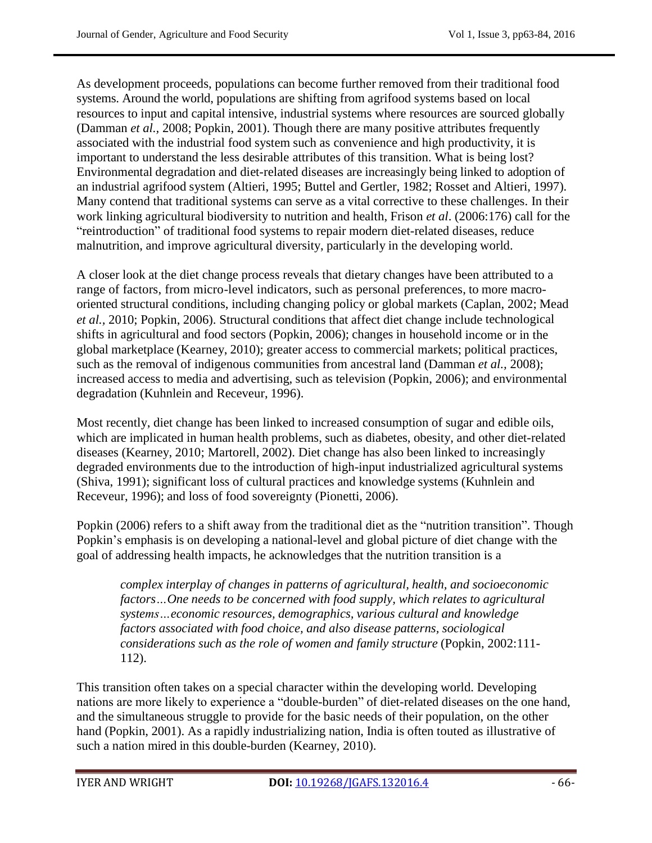As development proceeds, populations can become further removed from their traditional food systems. Around the world, populations are shifting from agrifood systems based on local resources to input and capital intensive, industrial systems where resources are sourced globally (Damman *et al.,* 2008; Popkin, 2001). Though there are many positive attributes frequently associated with the industrial food system such as convenience and high productivity, it is important to understand the less desirable attributes of this transition. What is being lost? Environmental degradation and diet-related diseases are increasingly being linked to adoption of an industrial agrifood system (Altieri, 1995; Buttel and Gertler, 1982; Rosset and Altieri, 1997). Many contend that traditional systems can serve as a vital corrective to these challenges. In their work linking agricultural biodiversity to nutrition and health, Frison *et al*. (2006:176) call for the "reintroduction" of traditional food systems to repair modern diet-related diseases, reduce malnutrition, and improve agricultural diversity, particularly in the developing world.

A closer look at the diet change process reveals that dietary changes have been attributed to a range of factors, from micro-level indicators, such as personal preferences, to more macrooriented structural conditions, including changing policy or global markets (Caplan, 2002; Mead *et al.,* 2010; Popkin, 2006). Structural conditions that affect diet change include technological shifts in agricultural and food sectors (Popkin, 2006); changes in household income or in the global marketplace (Kearney, 2010); greater access to commercial markets; political practices, such as the removal of indigenous communities from ancestral land (Damman *et al.,* 2008); increased access to media and advertising, such as television (Popkin, 2006); and environmental degradation (Kuhnlein and Receveur, 1996).

Most recently, diet change has been linked to increased consumption of sugar and edible oils, which are implicated in human health problems, such as diabetes, obesity, and other diet-related diseases (Kearney, 2010; Martorell, 2002). Diet change has also been linked to increasingly degraded environments due to the introduction of high-input industrialized agricultural systems (Shiva, 1991); significant loss of cultural practices and knowledge systems (Kuhnlein and Receveur, 1996); and loss of food sovereignty (Pionetti, 2006).

Popkin (2006) refers to a shift away from the traditional diet as the "nutrition transition". Though Popkin's emphasis is on developing a national-level and global picture of diet change with the goal of addressing health impacts, he acknowledges that the nutrition transition is a

*complex interplay of changes in patterns of agricultural, health, and socioeconomic factors…One needs to be concerned with food supply, which relates to agricultural systems…economic resources, demographics, various cultural and knowledge factors associated with food choice, and also disease patterns, sociological considerations such as the role of women and family structure* (Popkin, 2002:111- 112).

This transition often takes on a special character within the developing world. Developing nations are more likely to experience a "double-burden" of diet-related diseases on the one hand, and the simultaneous struggle to provide for the basic needs of their population, on the other hand (Popkin, 2001). As a rapidly industrializing nation, India is often touted as illustrative of such a nation mired in this double-burden (Kearney, 2010).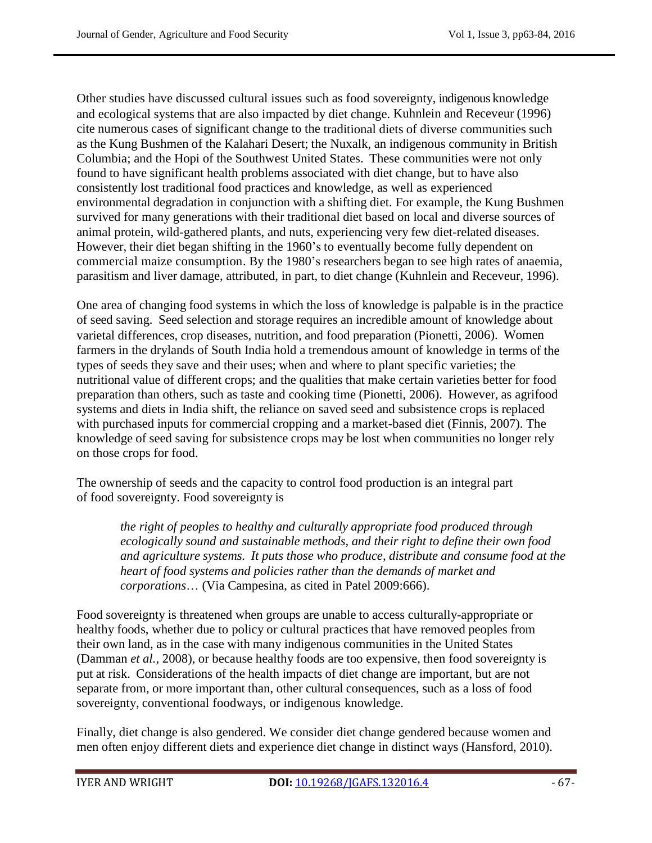Other studies have discussed cultural issues such as food sovereignty, indigenous knowledge and ecological systems that are also impacted by diet change. Kuhnlein and Receveur (1996) cite numerous cases of significant change to the traditional diets of diverse communities such as the Kung Bushmen of the Kalahari Desert; the Nuxalk, an indigenous community in British Columbia; and the Hopi of the Southwest United States. These communities were not only found to have significant health problems associated with diet change, but to have also consistently lost traditional food practices and knowledge, as well as experienced environmental degradation in conjunction with a shifting diet. For example, the Kung Bushmen survived for many generations with their traditional diet based on local and diverse sources of animal protein, wild-gathered plants, and nuts, experiencing very few diet-related diseases. However, their diet began shifting in the 1960's to eventually become fully dependent on commercial maize consumption. By the 1980's researchers began to see high rates of anaemia, parasitism and liver damage, attributed, in part, to diet change (Kuhnlein and Receveur, 1996).

One area of changing food systems in which the loss of knowledge is palpable is in the practice of seed saving. Seed selection and storage requires an incredible amount of knowledge about varietal differences, crop diseases, nutrition, and food preparation (Pionetti, 2006). Women farmers in the drylands of South India hold a tremendous amount of knowledge in terms of the types of seeds they save and their uses; when and where to plant specific varieties; the nutritional value of different crops; and the qualities that make certain varieties better for food preparation than others, such as taste and cooking time (Pionetti, 2006). However, as agrifood systems and diets in India shift, the reliance on saved seed and subsistence crops is replaced with purchased inputs for commercial cropping and a market-based diet (Finnis, 2007). The knowledge of seed saving for subsistence crops may be lost when communities no longer rely on those crops for food.

The ownership of seeds and the capacity to control food production is an integral part of food sovereignty. Food sovereignty is

*the right of peoples to healthy and culturally appropriate food produced through ecologically sound and sustainable methods, and their right to define their own food and agriculture systems. It puts those who produce, distribute and consume food at the heart of food systems and policies rather than the demands of market and corporations*… (Via Campesina, as cited in Patel 2009:666).

Food sovereignty is threatened when groups are unable to access culturally-appropriate or healthy foods, whether due to policy or cultural practices that have removed peoples from their own land, as in the case with many indigenous communities in the United States (Damman *et al.,* 2008), or because healthy foods are too expensive, then food sovereignty is put at risk. Considerations of the health impacts of diet change are important, but are not separate from, or more important than, other cultural consequences, such as a loss of food sovereignty, conventional foodways, or indigenous knowledge.

Finally, diet change is also gendered. We consider diet change gendered because women and men often enjoy different diets and experience diet change in distinct ways (Hansford, 2010).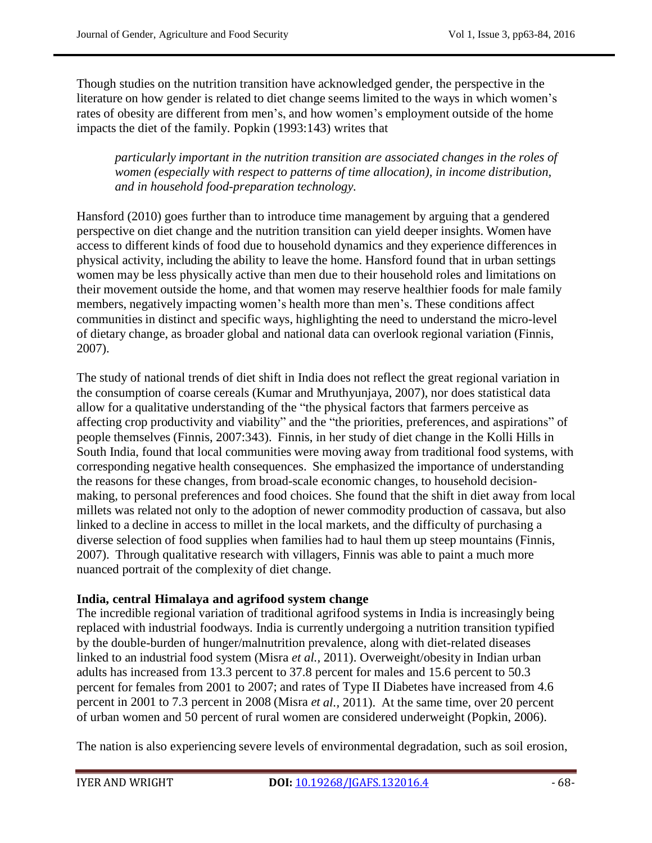Though studies on the nutrition transition have acknowledged gender, the perspective in the literature on how gender is related to diet change seems limited to the ways in which women's rates of obesity are different from men's, and how women's employment outside of the home impacts the diet of the family. Popkin (1993:143) writes that

*particularly important in the nutrition transition are associated changes in the roles of women (especially with respect to patterns of time allocation), in income distribution, and in household food-preparation technology.*

Hansford (2010) goes further than to introduce time management by arguing that a gendered perspective on diet change and the nutrition transition can yield deeper insights. Women have access to different kinds of food due to household dynamics and they experience differences in physical activity, including the ability to leave the home. Hansford found that in urban settings women may be less physically active than men due to their household roles and limitations on their movement outside the home, and that women may reserve healthier foods for male family members, negatively impacting women's health more than men's. These conditions affect communities in distinct and specific ways, highlighting the need to understand the micro-level of dietary change, as broader global and national data can overlook regional variation (Finnis, 2007).

The study of national trends of diet shift in India does not reflect the great regional variation in the consumption of coarse cereals (Kumar and Mruthyunjaya, 2007), nor does statistical data allow for a qualitative understanding of the "the physical factors that farmers perceive as affecting crop productivity and viability" and the "the priorities, preferences, and aspirations" of people themselves (Finnis, 2007:343). Finnis, in her study of diet change in the Kolli Hills in South India, found that local communities were moving away from traditional food systems, with corresponding negative health consequences. She emphasized the importance of understanding the reasons for these changes, from broad-scale economic changes, to household decisionmaking, to personal preferences and food choices. She found that the shift in diet away from local millets was related not only to the adoption of newer commodity production of cassava, but also linked to a decline in access to millet in the local markets, and the difficulty of purchasing a diverse selection of food supplies when families had to haul them up steep mountains (Finnis, 2007). Through qualitative research with villagers, Finnis was able to paint a much more nuanced portrait of the complexity of diet change.

#### **India, central Himalaya and agrifood system change**

The incredible regional variation of traditional agrifood systems in India is increasingly being replaced with industrial foodways. India is currently undergoing a nutrition transition typified by the double-burden of hunger/malnutrition prevalence, along with diet-related diseases linked to an industrial food system (Misra *et al.,* 2011). Overweight/obesity in Indian urban adults has increased from 13.3 percent to 37.8 percent for males and 15.6 percent to 50.3 percent for females from 2001 to 2007; and rates of Type II Diabetes have increased from 4.6 percent in 2001 to 7.3 percent in 2008 (Misra *et al.,* 2011). At the same time, over 20 percent of urban women and 50 percent of rural women are considered underweight (Popkin, 2006).

The nation is also experiencing severe levels of environmental degradation, such as soil erosion,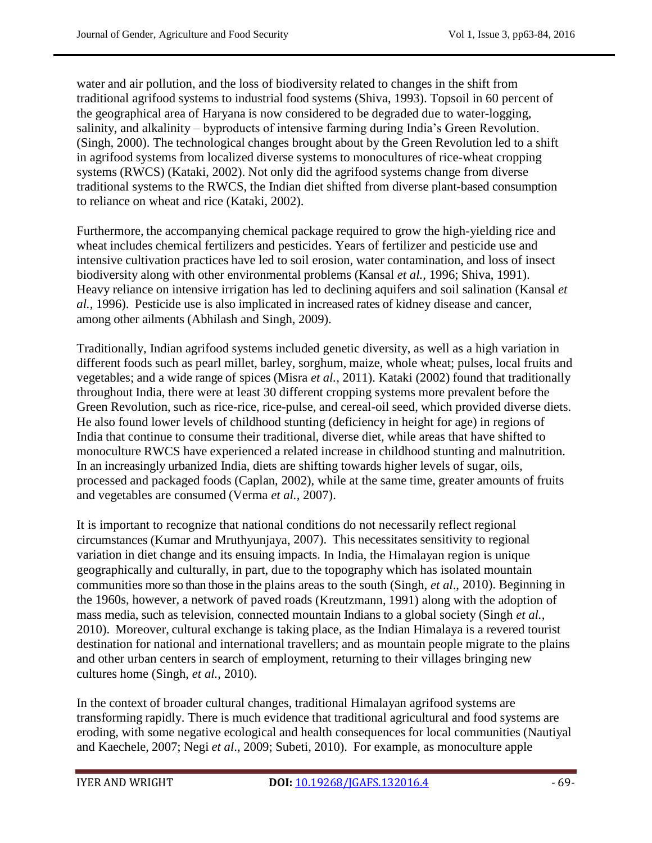water and air pollution, and the loss of biodiversity related to changes in the shift from traditional agrifood systems to industrial food systems (Shiva, 1993). Topsoil in 60 percent of the geographical area of Haryana is now considered to be degraded due to water-logging, salinity, and alkalinity – byproducts of intensive farming during India's Green Revolution. (Singh, 2000). The technological changes brought about by the Green Revolution led to a shift in agrifood systems from localized diverse systems to monocultures of rice-wheat cropping systems (RWCS) (Kataki, 2002). Not only did the agrifood systems change from diverse traditional systems to the RWCS, the Indian diet shifted from diverse plant-based consumption to reliance on wheat and rice (Kataki, 2002).

Furthermore, the accompanying chemical package required to grow the high-yielding rice and wheat includes chemical fertilizers and pesticides. Years of fertilizer and pesticide use and intensive cultivation practices have led to soil erosion, water contamination, and loss of insect biodiversity along with other environmental problems (Kansal *et al.,* 1996; Shiva, 1991). Heavy reliance on intensive irrigation has led to declining aquifers and soil salination (Kansal *et al.,* 1996). Pesticide use is also implicated in increased rates of kidney disease and cancer, among other ailments (Abhilash and Singh, 2009).

Traditionally, Indian agrifood systems included genetic diversity, as well as a high variation in different foods such as pearl millet, barley, sorghum, maize, whole wheat; pulses, local fruits and vegetables; and a wide range of spices (Misra *et al.,* 2011). Kataki (2002) found that traditionally throughout India, there were at least 30 different cropping systems more prevalent before the Green Revolution, such as rice-rice, rice-pulse, and cereal-oil seed, which provided diverse diets. He also found lower levels of childhood stunting (deficiency in height for age) in regions of India that continue to consume their traditional, diverse diet, while areas that have shifted to monoculture RWCS have experienced a related increase in childhood stunting and malnutrition. In an increasingly urbanized India, diets are shifting towards higher levels of sugar, oils, processed and packaged foods (Caplan, 2002), while at the same time, greater amounts of fruits and vegetables are consumed (Verma *et al.,* 2007).

It is important to recognize that national conditions do not necessarily reflect regional circumstances (Kumar and Mruthyunjaya, 2007). This necessitates sensitivity to regional variation in diet change and its ensuing impacts. In India, the Himalayan region is unique geographically and culturally, in part, due to the topography which has isolated mountain communities more so than those in the plains areas to the south (Singh, *et al*., 2010). Beginning in the 1960s, however, a network of paved roads (Kreutzmann, 1991) along with the adoption of mass media, such as television, connected mountain Indians to a global society (Singh *et al.,* 2010). Moreover, cultural exchange is taking place, as the Indian Himalaya is a revered tourist destination for national and international travellers; and as mountain people migrate to the plains and other urban centers in search of employment, returning to their villages bringing new cultures home (Singh, *et al.,* 2010).

In the context of broader cultural changes, traditional Himalayan agrifood systems are transforming rapidly. There is much evidence that traditional agricultural and food systems are eroding, with some negative ecological and health consequences for local communities (Nautiyal and Kaechele, 2007; Negi *et al*., 2009; Subeti, 2010). For example, as monoculture apple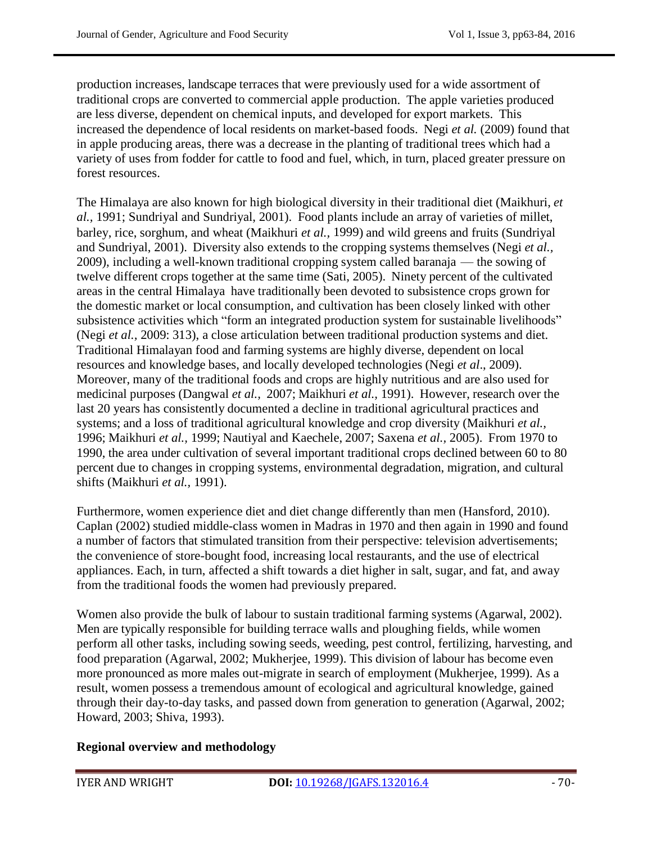production increases, landscape terraces that were previously used for a wide assortment of traditional crops are converted to commercial apple production. The apple varieties produced are less diverse, dependent on chemical inputs, and developed for export markets. This increased the dependence of local residents on market-based foods. Negi *et al.* (2009) found that in apple producing areas, there was a decrease in the planting of traditional trees which had a variety of uses from fodder for cattle to food and fuel, which, in turn, placed greater pressure on forest resources.

The Himalaya are also known for high biological diversity in their traditional diet (Maikhuri, *et al.,* 1991; Sundriyal and Sundriyal, 2001). Food plants include an array of varieties of millet, barley, rice, sorghum, and wheat (Maikhuri *et al.,* 1999) and wild greens and fruits (Sundriyal and Sundriyal, 2001). Diversity also extends to the cropping systems themselves (Negi *et al.,* 2009), including a well-known traditional cropping system called baranaja — the sowing of twelve different crops together at the same time (Sati, 2005). Ninety percent of the cultivated areas in the central Himalaya have traditionally been devoted to subsistence crops grown for the domestic market or local consumption, and cultivation has been closely linked with other subsistence activities which "form an integrated production system for sustainable livelihoods" (Negi *et al.,* 2009: 313), a close articulation between traditional production systems and diet. Traditional Himalayan food and farming systems are highly diverse, dependent on local resources and knowledge bases, and locally developed technologies (Negi *et al*., 2009). Moreover, many of the traditional foods and crops are highly nutritious and are also used for medicinal purposes (Dangwal *et al.,* 2007; Maikhuri *et al.,* 1991). However, research over the last 20 years has consistently documented a decline in traditional agricultural practices and systems; and a loss of traditional agricultural knowledge and crop diversity (Maikhuri *et al.,* 1996; Maikhuri *et al.,* 1999; Nautiyal and Kaechele, 2007; Saxena *et al.,* 2005). From 1970 to 1990, the area under cultivation of several important traditional crops declined between 60 to 80 percent due to changes in cropping systems, environmental degradation, migration, and cultural shifts (Maikhuri *et al.,* 1991).

Furthermore, women experience diet and diet change differently than men (Hansford, 2010). Caplan (2002) studied middle-class women in Madras in 1970 and then again in 1990 and found a number of factors that stimulated transition from their perspective: television advertisements; the convenience of store-bought food, increasing local restaurants, and the use of electrical appliances. Each, in turn, affected a shift towards a diet higher in salt, sugar, and fat, and away from the traditional foods the women had previously prepared.

Women also provide the bulk of labour to sustain traditional farming systems (Agarwal, 2002). Men are typically responsible for building terrace walls and ploughing fields, while women perform all other tasks, including sowing seeds, weeding, pest control, fertilizing, harvesting, and food preparation (Agarwal, 2002; Mukherjee, 1999). This division of labour has become even more pronounced as more males out-migrate in search of employment (Mukherjee, 1999). As a result, women possess a tremendous amount of ecological and agricultural knowledge, gained through their day-to-day tasks, and passed down from generation to generation (Agarwal, 2002; Howard, 2003; Shiva, 1993).

#### **Regional overview and methodology**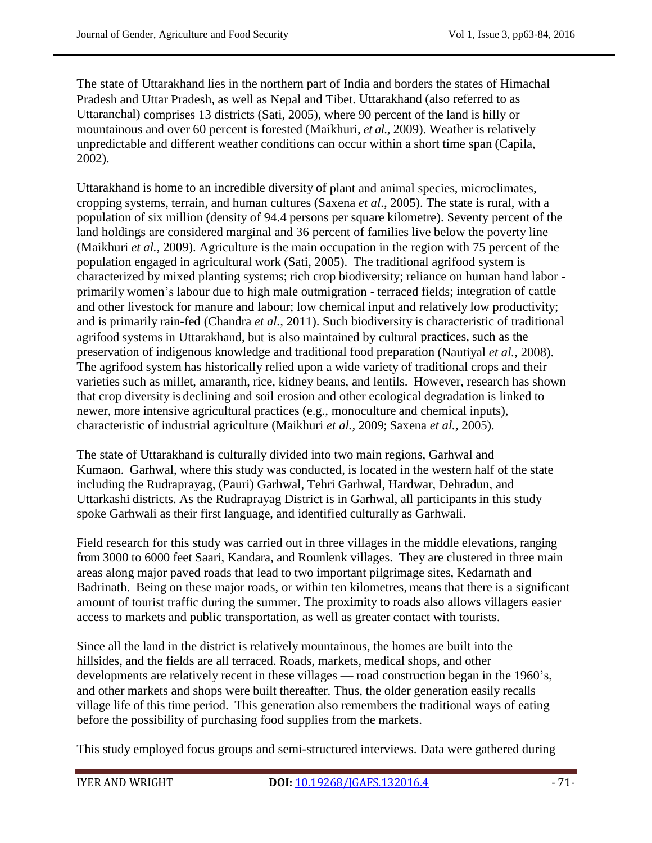The state of Uttarakhand lies in the northern part of India and borders the states of Himachal Pradesh and Uttar Pradesh, as well as Nepal and Tibet. Uttarakhand (also referred to as Uttaranchal) comprises 13 districts (Sati, 2005), where 90 percent of the land is hilly or mountainous and over 60 percent is forested (Maikhuri, *et al.,* 2009). Weather is relatively unpredictable and different weather conditions can occur within a short time span (Capila, 2002).

Uttarakhand is home to an incredible diversity of plant and animal species, microclimates, cropping systems, terrain, and human cultures (Saxena *et al*., 2005). The state is rural, with a population of six million (density of 94.4 persons per square kilometre). Seventy percent of the land holdings are considered marginal and 36 percent of families live below the poverty line (Maikhuri *et al.,* 2009). Agriculture is the main occupation in the region with 75 percent of the population engaged in agricultural work (Sati, 2005). The traditional agrifood system is characterized by mixed planting systems; rich crop biodiversity; reliance on human hand labor primarily women's labour due to high male outmigration - terraced fields; integration of cattle and other livestock for manure and labour; low chemical input and relatively low productivity; and is primarily rain-fed (Chandra *et al.,* 2011). Such biodiversity is characteristic of traditional agrifood systems in Uttarakhand, but is also maintained by cultural practices, such as the preservation of indigenous knowledge and traditional food preparation (Nautiyal *et al.,* 2008). The agrifood system has historically relied upon a wide variety of traditional crops and their varieties such as millet, amaranth, rice, kidney beans, and lentils. However, research has shown that crop diversity is declining and soil erosion and other ecological degradation is linked to newer, more intensive agricultural practices (e.g., monoculture and chemical inputs), characteristic of industrial agriculture (Maikhuri *et al.,* 2009; Saxena *et al.,* 2005).

The state of Uttarakhand is culturally divided into two main regions, Garhwal and Kumaon. Garhwal, where this study was conducted, is located in the western half of the state including the Rudraprayag, (Pauri) Garhwal, Tehri Garhwal, Hardwar, Dehradun, and Uttarkashi districts. As the Rudraprayag District is in Garhwal, all participants in this study spoke Garhwali as their first language, and identified culturally as Garhwali.

Field research for this study was carried out in three villages in the middle elevations, ranging from 3000 to 6000 feet Saari, Kandara, and Rounlenk villages. They are clustered in three main areas along major paved roads that lead to two important pilgrimage sites, Kedarnath and Badrinath. Being on these major roads, or within ten kilometres, means that there is a significant amount of tourist traffic during the summer. The proximity to roads also allows villagers easier access to markets and public transportation, as well as greater contact with tourists.

Since all the land in the district is relatively mountainous, the homes are built into the hillsides, and the fields are all terraced. Roads, markets, medical shops, and other developments are relatively recent in these villages — road construction began in the 1960's, and other markets and shops were built thereafter. Thus, the older generation easily recalls village life of this time period. This generation also remembers the traditional ways of eating before the possibility of purchasing food supplies from the markets.

This study employed focus groups and semi-structured interviews. Data were gathered during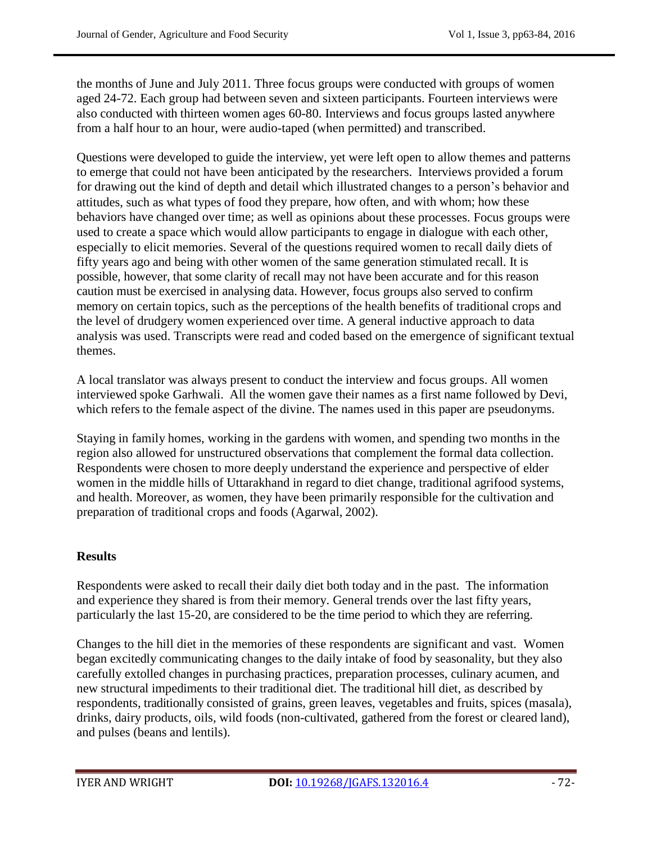the months of June and July 2011. Three focus groups were conducted with groups of women aged 24-72. Each group had between seven and sixteen participants. Fourteen interviews were also conducted with thirteen women ages 60-80. Interviews and focus groups lasted anywhere from a half hour to an hour, were audio-taped (when permitted) and transcribed.

Questions were developed to guide the interview, yet were left open to allow themes and patterns to emerge that could not have been anticipated by the researchers. Interviews provided a forum for drawing out the kind of depth and detail which illustrated changes to a person's behavior and attitudes, such as what types of food they prepare, how often, and with whom; how these behaviors have changed over time; as well as opinions about these processes. Focus groups were used to create a space which would allow participants to engage in dialogue with each other, especially to elicit memories. Several of the questions required women to recall daily diets of fifty years ago and being with other women of the same generation stimulated recall. It is possible, however, that some clarity of recall may not have been accurate and for this reason caution must be exercised in analysing data. However, focus groups also served to confirm memory on certain topics, such as the perceptions of the health benefits of traditional crops and the level of drudgery women experienced over time. A general inductive approach to data analysis was used. Transcripts were read and coded based on the emergence of significant textual themes.

A local translator was always present to conduct the interview and focus groups. All women interviewed spoke Garhwali. All the women gave their names as a first name followed by Devi, which refers to the female aspect of the divine. The names used in this paper are pseudonyms.

Staying in family homes, working in the gardens with women, and spending two months in the region also allowed for unstructured observations that complement the formal data collection. Respondents were chosen to more deeply understand the experience and perspective of elder women in the middle hills of Uttarakhand in regard to diet change, traditional agrifood systems, and health. Moreover, as women, they have been primarily responsible for the cultivation and preparation of traditional crops and foods (Agarwal, 2002).

#### **Results**

Respondents were asked to recall their daily diet both today and in the past. The information and experience they shared is from their memory. General trends over the last fifty years, particularly the last 15-20, are considered to be the time period to which they are referring.

Changes to the hill diet in the memories of these respondents are significant and vast. Women began excitedly communicating changes to the daily intake of food by seasonality, but they also carefully extolled changes in purchasing practices, preparation processes, culinary acumen, and new structural impediments to their traditional diet. The traditional hill diet, as described by respondents, traditionally consisted of grains, green leaves, vegetables and fruits, spices (masala), drinks, dairy products, oils, wild foods (non-cultivated, gathered from the forest or cleared land), and pulses (beans and lentils).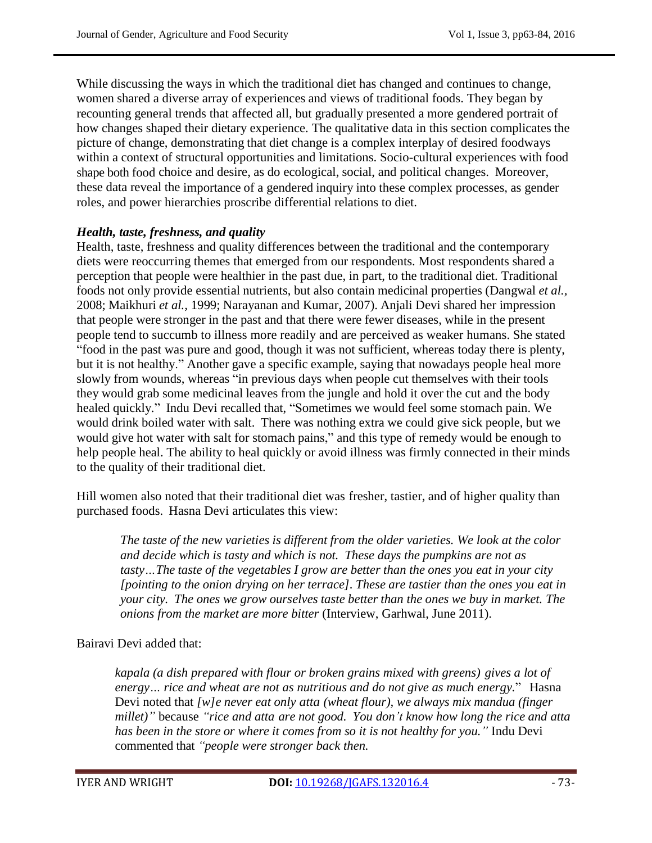While discussing the ways in which the traditional diet has changed and continues to change, women shared a diverse array of experiences and views of traditional foods. They began by recounting general trends that affected all, but gradually presented a more gendered portrait of how changes shaped their dietary experience. The qualitative data in this section complicates the picture of change, demonstrating that diet change is a complex interplay of desired foodways within a context of structural opportunities and limitations. Socio-cultural experiences with food shape both food choice and desire, as do ecological, social, and political changes. Moreover, these data reveal the importance of a gendered inquiry into these complex processes, as gender roles, and power hierarchies proscribe differential relations to diet.

#### *Health, taste, freshness, and quality*

Health, taste, freshness and quality differences between the traditional and the contemporary diets were reoccurring themes that emerged from our respondents. Most respondents shared a perception that people were healthier in the past due, in part, to the traditional diet. Traditional foods not only provide essential nutrients, but also contain medicinal properties (Dangwal *et al.,* 2008; Maikhuri *et al.,* 1999; Narayanan and Kumar, 2007). Anjali Devi shared her impression that people were stronger in the past and that there were fewer diseases, while in the present people tend to succumb to illness more readily and are perceived as weaker humans. She stated ―food in the past was pure and good, though it was not sufficient, whereas today there is plenty, but it is not healthy." Another gave a specific example, saying that nowadays people heal more slowly from wounds, whereas "in previous days when people cut themselves with their tools they would grab some medicinal leaves from the jungle and hold it over the cut and the body healed quickly." Indu Devi recalled that, "Sometimes we would feel some stomach pain. We would drink boiled water with salt. There was nothing extra we could give sick people, but we would give hot water with salt for stomach pains," and this type of remedy would be enough to help people heal. The ability to heal quickly or avoid illness was firmly connected in their minds to the quality of their traditional diet.

Hill women also noted that their traditional diet was fresher, tastier, and of higher quality than purchased foods. Hasna Devi articulates this view:

*The taste of the new varieties is different from the older varieties. We look at the color and decide which is tasty and which is not. These days the pumpkins are not as tasty…The taste of the vegetables I grow are better than the ones you eat in your city [pointing to the onion drying on her terrace]. These are tastier than the ones you eat in your city. The ones we grow ourselves taste better than the ones we buy in market. The onions from the market are more bitter* (Interview, Garhwal, June 2011).

#### Bairavi Devi added that:

*kapala (a dish prepared with flour or broken grains mixed with greens) gives a lot of energy… rice and wheat are not as nutritious and do not give as much energy.*‖ Hasna Devi noted that *[w]e never eat only atta (wheat flour), we always mix mandua (finger millet)"* because *"rice and atta are not good. You don't know how long the rice and atta has been in the store or where it comes from so it is not healthy for you."* Indu Devi commented that *"people were stronger back then.*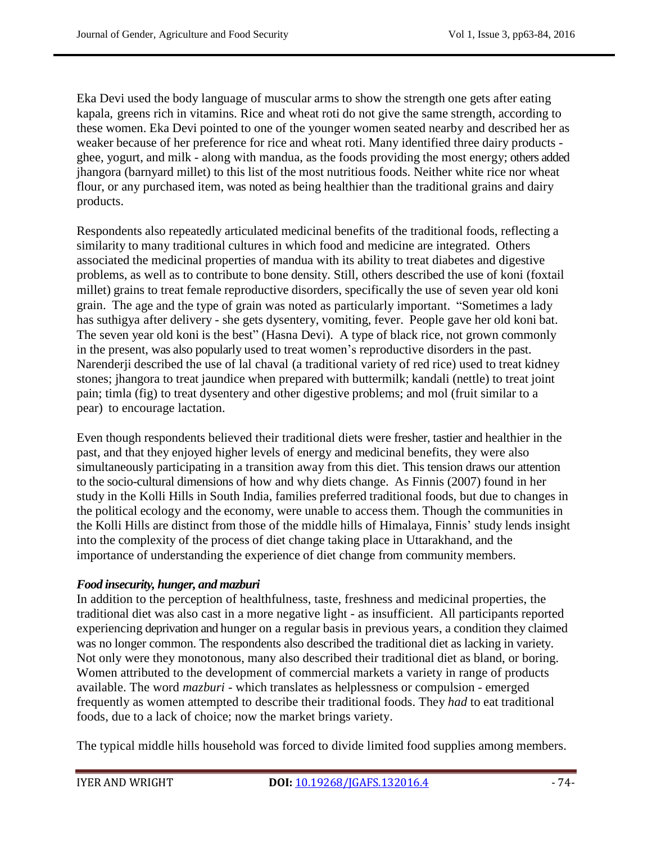Eka Devi used the body language of muscular arms to show the strength one gets after eating kapala, greens rich in vitamins. Rice and wheat roti do not give the same strength, according to these women. Eka Devi pointed to one of the younger women seated nearby and described her as weaker because of her preference for rice and wheat roti. Many identified three dairy products ghee, yogurt, and milk - along with mandua, as the foods providing the most energy; others added jhangora (barnyard millet) to this list of the most nutritious foods. Neither white rice nor wheat flour, or any purchased item, was noted as being healthier than the traditional grains and dairy products.

Respondents also repeatedly articulated medicinal benefits of the traditional foods, reflecting a similarity to many traditional cultures in which food and medicine are integrated. Others associated the medicinal properties of mandua with its ability to treat diabetes and digestive problems, as well as to contribute to bone density. Still, others described the use of koni (foxtail millet) grains to treat female reproductive disorders, specifically the use of seven year old koni grain. The age and the type of grain was noted as particularly important. "Sometimes a lady has suthigya after delivery - she gets dysentery, vomiting, fever. People gave her old koni bat. The seven year old koni is the best" (Hasna Devi). A type of black rice, not grown commonly in the present, was also popularly used to treat women's reproductive disorders in the past. Narenderji described the use of lal chaval (a traditional variety of red rice) used to treat kidney stones; jhangora to treat jaundice when prepared with buttermilk; kandali (nettle) to treat joint pain; timla (fig) to treat dysentery and other digestive problems; and mol (fruit similar to a pear) to encourage lactation.

Even though respondents believed their traditional diets were fresher, tastier and healthier in the past, and that they enjoyed higher levels of energy and medicinal benefits, they were also simultaneously participating in a transition away from this diet. This tension draws our attention to the socio-cultural dimensions of how and why diets change. As Finnis (2007) found in her study in the Kolli Hills in South India, families preferred traditional foods, but due to changes in the political ecology and the economy, were unable to access them. Though the communities in the Kolli Hills are distinct from those of the middle hills of Himalaya, Finnis' study lends insight into the complexity of the process of diet change taking place in Uttarakhand, and the importance of understanding the experience of diet change from community members.

#### *Food insecurity, hunger, and mazburi*

In addition to the perception of healthfulness, taste, freshness and medicinal properties, the traditional diet was also cast in a more negative light - as insufficient. All participants reported experiencing deprivation and hunger on a regular basis in previous years, a condition they claimed was no longer common. The respondents also described the traditional diet as lacking in variety. Not only were they monotonous, many also described their traditional diet as bland, or boring. Women attributed to the development of commercial markets a variety in range of products available. The word *mazburi* - which translates as helplessness or compulsion - emerged frequently as women attempted to describe their traditional foods. They *had* to eat traditional foods, due to a lack of choice; now the market brings variety.

The typical middle hills household was forced to divide limited food supplies among members.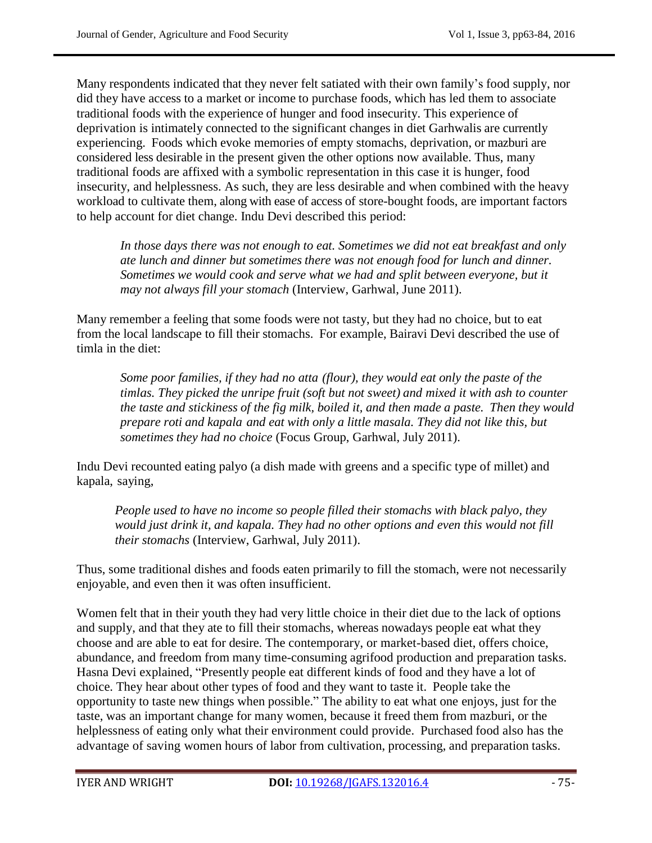Many respondents indicated that they never felt satiated with their own family's food supply, nor did they have access to a market or income to purchase foods, which has led them to associate traditional foods with the experience of hunger and food insecurity. This experience of deprivation is intimately connected to the significant changes in diet Garhwalis are currently experiencing. Foods which evoke memories of empty stomachs, deprivation, or mazburi are considered less desirable in the present given the other options now available. Thus, many traditional foods are affixed with a symbolic representation in this case it is hunger, food insecurity, and helplessness. As such, they are less desirable and when combined with the heavy workload to cultivate them, along with ease of access of store-bought foods, are important factors to help account for diet change. Indu Devi described this period:

*In those days there was not enough to eat. Sometimes we did not eat breakfast and only ate lunch and dinner but sometimes there was not enough food for lunch and dinner. Sometimes we would cook and serve what we had and split between everyone, but it may not always fill your stomach* (Interview, Garhwal, June 2011).

Many remember a feeling that some foods were not tasty, but they had no choice, but to eat from the local landscape to fill their stomachs. For example, Bairavi Devi described the use of timla in the diet:

*Some poor families, if they had no atta (flour), they would eat only the paste of the timlas. They picked the unripe fruit (soft but not sweet) and mixed it with ash to counter the taste and stickiness of the fig milk, boiled it, and then made a paste. Then they would prepare roti and kapala and eat with only a little masala. They did not like this, but sometimes they had no choice* (Focus Group, Garhwal, July 2011).

Indu Devi recounted eating palyo (a dish made with greens and a specific type of millet) and kapala, saying,

*People used to have no income so people filled their stomachs with black palyo, they would just drink it, and kapala. They had no other options and even this would not fill their stomachs* (Interview, Garhwal, July 2011).

Thus, some traditional dishes and foods eaten primarily to fill the stomach, were not necessarily enjoyable, and even then it was often insufficient.

Women felt that in their youth they had very little choice in their diet due to the lack of options and supply, and that they ate to fill their stomachs, whereas nowadays people eat what they choose and are able to eat for desire. The contemporary, or market-based diet, offers choice, abundance, and freedom from many time-consuming agrifood production and preparation tasks. Hasna Devi explained, "Presently people eat different kinds of food and they have a lot of choice. They hear about other types of food and they want to taste it. People take the opportunity to taste new things when possible." The ability to eat what one enjoys, just for the taste, was an important change for many women, because it freed them from mazburi, or the helplessness of eating only what their environment could provide. Purchased food also has the advantage of saving women hours of labor from cultivation, processing, and preparation tasks.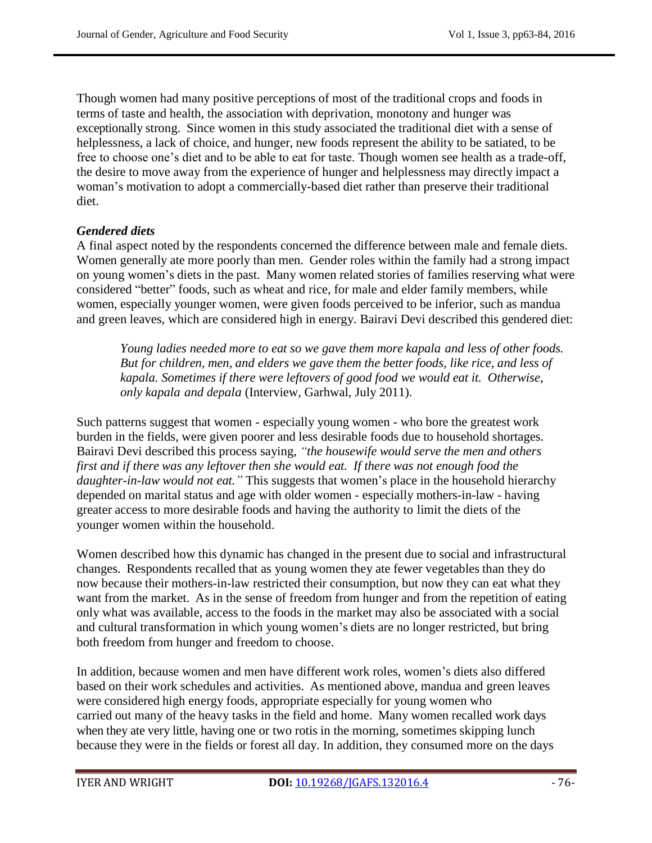Though women had many positive perceptions of most of the traditional crops and foods in terms of taste and health, the association with deprivation, monotony and hunger was exceptionally strong. Since women in this study associated the traditional diet with a sense of helplessness, a lack of choice, and hunger, new foods represent the ability to be satiated, to be free to choose one's diet and to be able to eat for taste. Though women see health as a trade-off, the desire to move away from the experience of hunger and helplessness may directly impact a woman's motivation to adopt a commercially-based diet rather than preserve their traditional diet.

#### *Gendered diets*

A final aspect noted by the respondents concerned the difference between male and female diets. Women generally ate more poorly than men. Gender roles within the family had a strong impact on young women's diets in the past. Many women related stories of families reserving what were considered "better" foods, such as wheat and rice, for male and elder family members, while women, especially younger women, were given foods perceived to be inferior, such as mandua and green leaves, which are considered high in energy. Bairavi Devi described this gendered diet:

*Young ladies needed more to eat so we gave them more kapala and less of other foods. But for children, men, and elders we gave them the better foods, like rice, and less of kapala. Sometimes if there were leftovers of good food we would eat it. Otherwise, only kapala and depala* (Interview, Garhwal, July 2011).

Such patterns suggest that women - especially young women - who bore the greatest work burden in the fields, were given poorer and less desirable foods due to household shortages. Bairavi Devi described this process saying*, "the housewife would serve the men and others first and if there was any leftover then she would eat. If there was not enough food the daughter-in-law would not eat."* This suggests that women's place in the household hierarchy depended on marital status and age with older women - especially mothers-in-law - having greater access to more desirable foods and having the authority to limit the diets of the younger women within the household.

Women described how this dynamic has changed in the present due to social and infrastructural changes. Respondents recalled that as young women they ate fewer vegetables than they do now because their mothers-in-law restricted their consumption, but now they can eat what they want from the market. As in the sense of freedom from hunger and from the repetition of eating only what was available, access to the foods in the market may also be associated with a social and cultural transformation in which young women's diets are no longer restricted, but bring both freedom from hunger and freedom to choose.

In addition, because women and men have different work roles, women's diets also differed based on their work schedules and activities. As mentioned above, mandua and green leaves were considered high energy foods, appropriate especially for young women who carried out many of the heavy tasks in the field and home. Many women recalled work days when they ate very little, having one or two rotis in the morning, sometimes skipping lunch because they were in the fields or forest all day. In addition, they consumed more on the days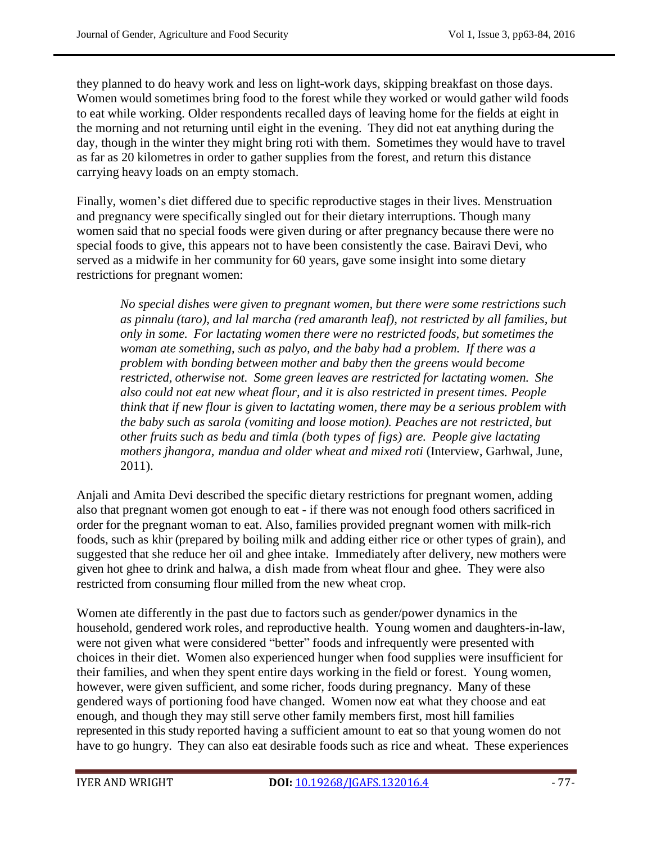they planned to do heavy work and less on light-work days, skipping breakfast on those days. Women would sometimes bring food to the forest while they worked or would gather wild foods to eat while working. Older respondents recalled days of leaving home for the fields at eight in the morning and not returning until eight in the evening. They did not eat anything during the day, though in the winter they might bring roti with them. Sometimes they would have to travel as far as 20 kilometres in order to gather supplies from the forest, and return this distance carrying heavy loads on an empty stomach.

Finally, women's diet differed due to specific reproductive stages in their lives. Menstruation and pregnancy were specifically singled out for their dietary interruptions. Though many women said that no special foods were given during or after pregnancy because there were no special foods to give, this appears not to have been consistently the case. Bairavi Devi, who served as a midwife in her community for 60 years, gave some insight into some dietary restrictions for pregnant women:

*No special dishes were given to pregnant women, but there were some restrictions such as pinnalu (taro), and lal marcha (red amaranth leaf), not restricted by all families, but only in some. For lactating women there were no restricted foods, but sometimes the woman ate something, such as palyo, and the baby had a problem. If there was a problem with bonding between mother and baby then the greens would become restricted, otherwise not. Some green leaves are restricted for lactating women. She also could not eat new wheat flour, and it is also restricted in present times. People think that if new flour is given to lactating women, there may be a serious problem with the baby such as sarola (vomiting and loose motion). Peaches are not restricted, but other fruits such as bedu and timla (both types of figs) are. People give lactating mothers jhangora, mandua and older wheat and mixed roti* (Interview, Garhwal, June, 2011).

Anjali and Amita Devi described the specific dietary restrictions for pregnant women, adding also that pregnant women got enough to eat - if there was not enough food others sacrificed in order for the pregnant woman to eat. Also, families provided pregnant women with milk-rich foods, such as khir (prepared by boiling milk and adding either rice or other types of grain), and suggested that she reduce her oil and ghee intake. Immediately after delivery, new mothers were given hot ghee to drink and halwa, a dish made from wheat flour and ghee. They were also restricted from consuming flour milled from the new wheat crop.

Women ate differently in the past due to factors such as gender/power dynamics in the household, gendered work roles, and reproductive health. Young women and daughters-in-law, were not given what were considered "better" foods and infrequently were presented with choices in their diet. Women also experienced hunger when food supplies were insufficient for their families, and when they spent entire days working in the field or forest. Young women, however, were given sufficient, and some richer, foods during pregnancy. Many of these gendered ways of portioning food have changed. Women now eat what they choose and eat enough, and though they may still serve other family members first, most hill families represented in this study reported having a sufficient amount to eat so that young women do not have to go hungry. They can also eat desirable foods such as rice and wheat. These experiences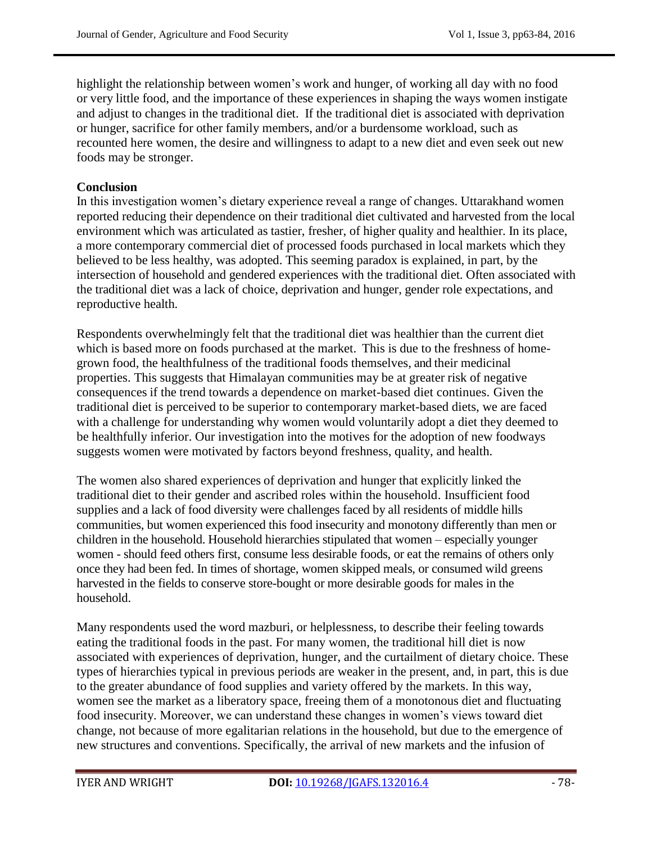highlight the relationship between women's work and hunger, of working all day with no food or very little food, and the importance of these experiences in shaping the ways women instigate and adjust to changes in the traditional diet. If the traditional diet is associated with deprivation or hunger, sacrifice for other family members, and/or a burdensome workload, such as recounted here women, the desire and willingness to adapt to a new diet and even seek out new foods may be stronger.

### **Conclusion**

In this investigation women's dietary experience reveal a range of changes. Uttarakhand women reported reducing their dependence on their traditional diet cultivated and harvested from the local environment which was articulated as tastier, fresher, of higher quality and healthier. In its place, a more contemporary commercial diet of processed foods purchased in local markets which they believed to be less healthy, was adopted. This seeming paradox is explained, in part, by the intersection of household and gendered experiences with the traditional diet. Often associated with the traditional diet was a lack of choice, deprivation and hunger, gender role expectations, and reproductive health.

Respondents overwhelmingly felt that the traditional diet was healthier than the current diet which is based more on foods purchased at the market. This is due to the freshness of homegrown food, the healthfulness of the traditional foods themselves, and their medicinal properties. This suggests that Himalayan communities may be at greater risk of negative consequences if the trend towards a dependence on market-based diet continues. Given the traditional diet is perceived to be superior to contemporary market-based diets, we are faced with a challenge for understanding why women would voluntarily adopt a diet they deemed to be healthfully inferior. Our investigation into the motives for the adoption of new foodways suggests women were motivated by factors beyond freshness, quality, and health.

The women also shared experiences of deprivation and hunger that explicitly linked the traditional diet to their gender and ascribed roles within the household. Insufficient food supplies and a lack of food diversity were challenges faced by all residents of middle hills communities, but women experienced this food insecurity and monotony differently than men or children in the household. Household hierarchies stipulated that women – especially younger women - should feed others first, consume less desirable foods, or eat the remains of others only once they had been fed. In times of shortage, women skipped meals, or consumed wild greens harvested in the fields to conserve store-bought or more desirable goods for males in the household.

Many respondents used the word mazburi, or helplessness, to describe their feeling towards eating the traditional foods in the past. For many women, the traditional hill diet is now associated with experiences of deprivation, hunger, and the curtailment of dietary choice. These types of hierarchies typical in previous periods are weaker in the present, and, in part, this is due to the greater abundance of food supplies and variety offered by the markets. In this way, women see the market as a liberatory space, freeing them of a monotonous diet and fluctuating food insecurity. Moreover, we can understand these changes in women's views toward diet change, not because of more egalitarian relations in the household, but due to the emergence of new structures and conventions. Specifically, the arrival of new markets and the infusion of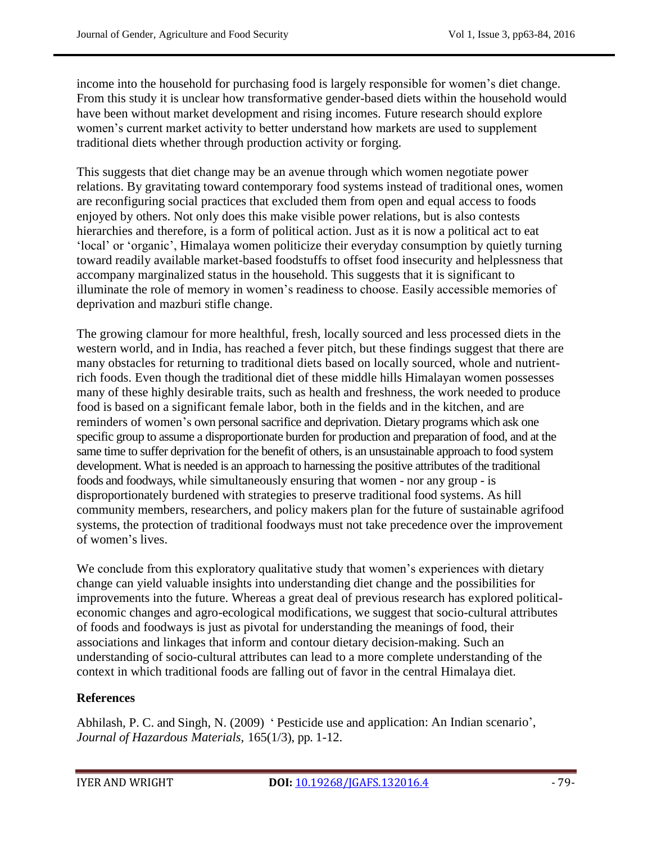income into the household for purchasing food is largely responsible for women's diet change. From this study it is unclear how transformative gender-based diets within the household would have been without market development and rising incomes. Future research should explore women's current market activity to better understand how markets are used to supplement traditional diets whether through production activity or forging.

This suggests that diet change may be an avenue through which women negotiate power relations. By gravitating toward contemporary food systems instead of traditional ones, women are reconfiguring social practices that excluded them from open and equal access to foods enjoyed by others. Not only does this make visible power relations, but is also contests hierarchies and therefore, is a form of political action. Just as it is now a political act to eat 'local' or 'organic', Himalaya women politicize their everyday consumption by quietly turning toward readily available market-based foodstuffs to offset food insecurity and helplessness that accompany marginalized status in the household. This suggests that it is significant to illuminate the role of memory in women's readiness to choose. Easily accessible memories of deprivation and mazburi stifle change.

The growing clamour for more healthful, fresh, locally sourced and less processed diets in the western world, and in India, has reached a fever pitch, but these findings suggest that there are many obstacles for returning to traditional diets based on locally sourced, whole and nutrientrich foods. Even though the traditional diet of these middle hills Himalayan women possesses many of these highly desirable traits, such as health and freshness, the work needed to produce food is based on a significant female labor, both in the fields and in the kitchen, and are reminders of women's own personal sacrifice and deprivation. Dietary programs which ask one specific group to assume a disproportionate burden for production and preparation of food, and at the same time to suffer deprivation for the benefit of others, is an unsustainable approach to food system development. What is needed is an approach to harnessing the positive attributes of the traditional foods and foodways, while simultaneously ensuring that women - nor any group - is disproportionately burdened with strategies to preserve traditional food systems. As hill community members, researchers, and policy makers plan for the future of sustainable agrifood systems, the protection of traditional foodways must not take precedence over the improvement of women's lives.

We conclude from this exploratory qualitative study that women's experiences with dietary change can yield valuable insights into understanding diet change and the possibilities for improvements into the future. Whereas a great deal of previous research has explored politicaleconomic changes and agro-ecological modifications, we suggest that socio-cultural attributes of foods and foodways is just as pivotal for understanding the meanings of food, their associations and linkages that inform and contour dietary decision-making. Such an understanding of socio-cultural attributes can lead to a more complete understanding of the context in which traditional foods are falling out of favor in the central Himalaya diet.

## **References**

Abhilash, P. C. and Singh, N. (2009) ‗ Pesticide use and application: An Indian scenario', *Journal of Hazardous Materials,* 165(1/3), pp. 1-12.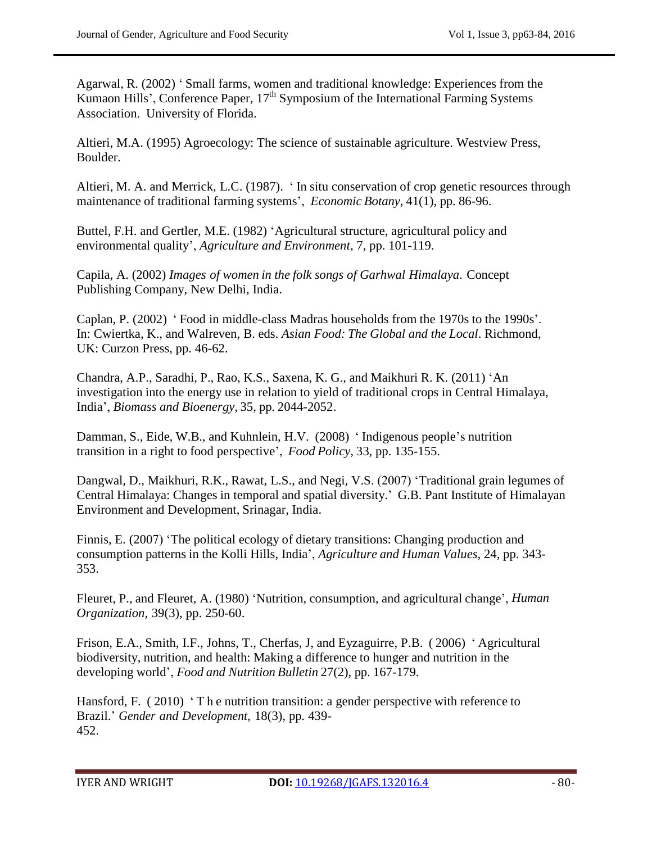Agarwal, R. (2002) ‗ Small farms, women and traditional knowledge: Experiences from the Kumaon Hills', Conference Paper,  $17<sup>th</sup>$  Symposium of the International Farming Systems Association. University of Florida.

Altieri, M.A. (1995) Agroecology: The science of sustainable agriculture. Westview Press, Boulder.

Altieri, M. A. and Merrick, L.C. (1987). ‗ In situ conservation of crop genetic resources through maintenance of traditional farming systems', *Economic Botany*, 41(1), pp. 86-96.

Buttel, F.H. and Gertler, M.E. (1982) 'Agricultural structure, agricultural policy and environmental quality', *Agriculture and Environment*, 7, pp. 101-119.

Capila, A. (2002) *Images of women in the folk songs of Garhwal Himalaya*. Concept Publishing Company, New Delhi, India.

Caplan, P. (2002) ‗ Food in middle-class Madras households from the 1970s to the 1990s'. In: Cwiertka, K., and Walreven, B. eds. *Asian Food: The Global and the Local*. Richmond, UK: Curzon Press, pp. 46-62.

Chandra, A.P., Saradhi, P., Rao, K.S., Saxena, K. G., and Maikhuri R. K. (2011) ‗An investigation into the energy use in relation to yield of traditional crops in Central Himalaya, India', *Biomass and Bioenergy,* 35, pp. 2044-2052.

Damman, S., Eide, W.B., and Kuhnlein, H.V. (2008) 'Indigenous people's nutrition transition in a right to food perspective', *Food Policy,* 33, pp. 135-155.

Dangwal, D., Maikhuri, R.K., Rawat, L.S., and Negi, V.S. (2007) 'Traditional grain legumes of Central Himalaya: Changes in temporal and spatial diversity.' G.B. Pant Institute of Himalayan Environment and Development, Srinagar, India.

Finnis, E. (2007) 'The political ecology of dietary transitions: Changing production and consumption patterns in the Kolli Hills, India', *Agriculture and Human Values,* 24, pp. 343- 353.

Fleuret, P., and Fleuret, A. (1980) ‗Nutrition, consumption, and agricultural change', *Human Organization,* 39(3), pp. 250-60.

Frison, E.A., Smith, I.F., Johns, T., Cherfas, J, and Eyzaguirre, P.B. ( 2006) ‗ Agricultural biodiversity, nutrition, and health: Making a difference to hunger and nutrition in the developing world', *Food and Nutrition Bulletin* 27(2), pp. 167-179.

Hansford, F. (2010) The nutrition transition: a gender perspective with reference to Brazil.' *Gender and Development,* 18(3), pp. 439- 452.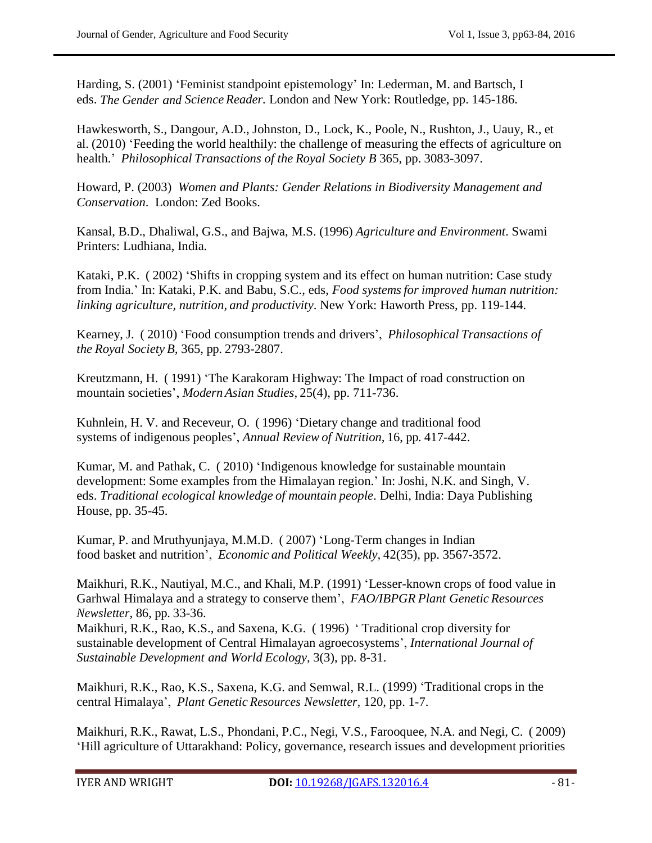Harding, S. (2001) 'Feminist standpoint epistemology' In: Lederman, M. and Bartsch, I eds. *The Gender and Science Reader.* London and New York: Routledge, pp. 145-186.

Hawkesworth, S., Dangour, A.D., Johnston, D., Lock, K., Poole, N., Rushton, J., Uauy, R., et al. (2010) ‗Feeding the world healthily: the challenge of measuring the effects of agriculture on health.' *Philosophical Transactions of the Royal Society B* 365, pp. 3083-3097.

Howard, P. (2003) *Women and Plants: Gender Relations in Biodiversity Management and Conservation*. London: Zed Books.

Kansal, B.D., Dhaliwal, G.S., and Bajwa, M.S. (1996) *Agriculture and Environment*. Swami Printers: Ludhiana, India.

Kataki, P.K. (2002) 'Shifts in cropping system and its effect on human nutrition: Case study from India.' In: Kataki, P.K. and Babu, S.C., eds, *Food systemsfor improved human nutrition: linking agriculture, nutrition, and productivity*. New York: Haworth Press, pp. 119-144.

Kearney, J. ( 2010) ‗Food consumption trends and drivers', *Philosophical Transactions of the Royal Society B,* 365, pp. 2793-2807.

Kreutzmann, H. (1991) 'The Karakoram Highway: The Impact of road construction on mountain societies', *Modern Asian Studies,* 25(4), pp. 711-736.

Kuhnlein, H. V. and Receveur, O. (1996) 'Dietary change and traditional food systems of indigenous peoples', *Annual Review of Nutrition,* 16, pp. 417-442.

Kumar, M. and Pathak, C. (2010) 'Indigenous knowledge for sustainable mountain development: Some examples from the Himalayan region.' In: Joshi, N.K. and Singh, V. eds. *Traditional ecological knowledge of mountain people*. Delhi, India: Daya Publishing House, pp. 35-45.

Kumar, P. and Mruthyunjaya, M.M.D. ( 2007) ‗Long-Term changes in Indian food basket and nutrition', *Economic and Political Weekly,* 42(35), pp. 3567-3572.

Maikhuri, R.K., Nautiyal, M.C., and Khali, M.P. (1991) ‗Lesser-known crops of food value in Garhwal Himalaya and a strategy to conserve them', *FAO/IBPGR Plant Genetic Resources Newsletter*, 86, pp. 33-36.

Maikhuri, R.K., Rao, K.S., and Saxena, K.G. ( 1996) ‗ Traditional crop diversity for sustainable development of Central Himalayan agroecosystems', *International Journal of Sustainable Development and World Ecology,* 3(3), pp. 8-31.

Maikhuri, R.K., Rao, K.S., Saxena, K.G. and Semwal, R.L. (1999) ‗Traditional crops in the central Himalaya', *Plant Genetic Resources Newsletter,* 120, pp. 1-7.

Maikhuri, R.K., Rawat, L.S., Phondani, P.C., Negi, V.S., Farooquee, N.A. and Negi, C. ( 2009) ‗Hill agriculture of Uttarakhand: Policy, governance, research issues and development priorities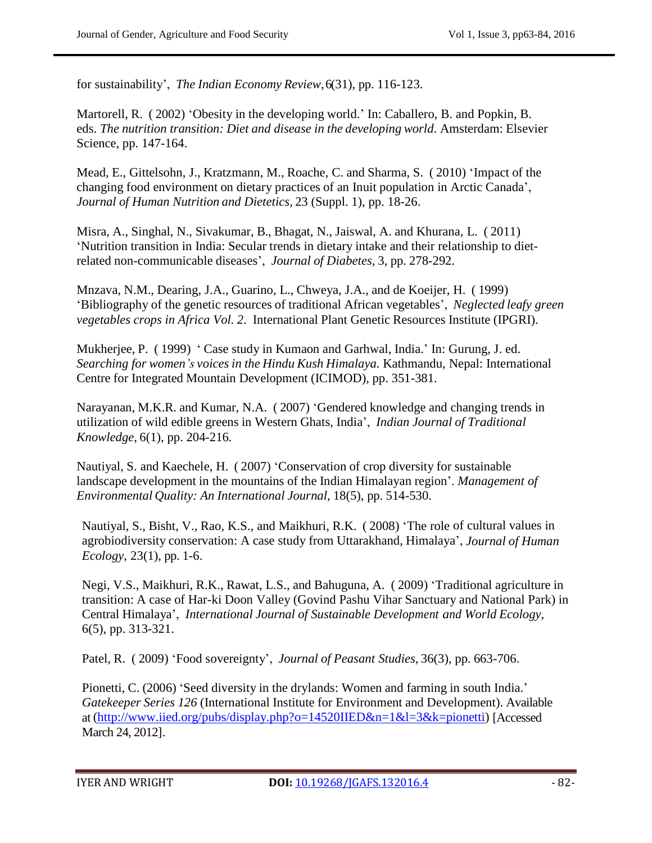for sustainability', *The Indian Economy Review*, 6(31), pp. 116-123.

Martorell, R. (2002) 'Obesity in the developing world.' In: Caballero, B. and Popkin, B. eds. *The nutrition transition: Diet and disease in the developing world*. Amsterdam: Elsevier Science, pp. 147-164.

Mead, E., Gittelsohn, J., Kratzmann, M., Roache, C. and Sharma, S. (2010) 'Impact of the changing food environment on dietary practices of an Inuit population in Arctic Canada', *Journal of Human Nutrition and Dietetics,* 23 (Suppl. 1), pp. 18-26.

Misra, A., Singhal, N., Sivakumar, B., Bhagat, N., Jaiswal, A. and Khurana, L. ( 2011) ‗Nutrition transition in India: Secular trends in dietary intake and their relationship to dietrelated non-communicable diseases', *Journal of Diabetes,* 3, pp. 278-292.

Mnzava, N.M., Dearing, J.A., Guarino, L., Chweya, J.A., and de Koeijer, H. ( 1999) ‗Bibliography of the genetic resources of traditional African vegetables', *Neglected leafy green vegetables crops in Africa Vol. 2*. International Plant Genetic Resources Institute (IPGRI).

Mukherjee, P. ( 1999) ‗ Case study in Kumaon and Garhwal, India.' In: Gurung, J. ed. *Searching for women's voices in the Hindu Kush Himalaya*. Kathmandu, Nepal: International Centre for Integrated Mountain Development (ICIMOD), pp. 351-381.

Narayanan, M.K.R. and Kumar, N.A. (2007) 'Gendered knowledge and changing trends in utilization of wild edible greens in Western Ghats, India', *Indian Journal of Traditional Knowledge,* 6(1), pp. 204-216.

Nautiyal, S. and Kaechele, H. (2007) 'Conservation of crop diversity for sustainable landscape development in the mountains of the Indian Himalayan region'. *Management of Environmental Quality: An International Journal,* 18(5), pp. 514-530.

Nautiyal, S., Bisht, V., Rao, K.S., and Maikhuri, R.K. (2008) 'The role of cultural values in agrobiodiversity conservation: A case study from Uttarakhand, Himalaya', *Journal of Human Ecology*, 23(1), pp. 1-6.

Negi, V.S., Maikhuri, R.K., Rawat, L.S., and Bahuguna, A. (2009) 'Traditional agriculture in transition: A case of Har-ki Doon Valley (Govind Pashu Vihar Sanctuary and National Park) in Central Himalaya', *International Journal of Sustainable Development and World Ecology,* 6(5), pp. 313-321.

Patel, R. ( 2009) ‗Food sovereignty', *Journal of Peasant Studies,* 36(3), pp. 663-706.

Pionetti, C. (2006) 'Seed diversity in the drylands: Women and farming in south India.' *Gatekeeper Series 126* (International Institute for Environment and Development). Available at [\(http://www.iied.org/pubs/display.php?o=14520IIED&n=1&l=3&k=pionetti\)](http://www.iied.org/pubs/display.php?o=14520IIED&n=1&l=3&k=pionetti) [Accessed March 24, 2012].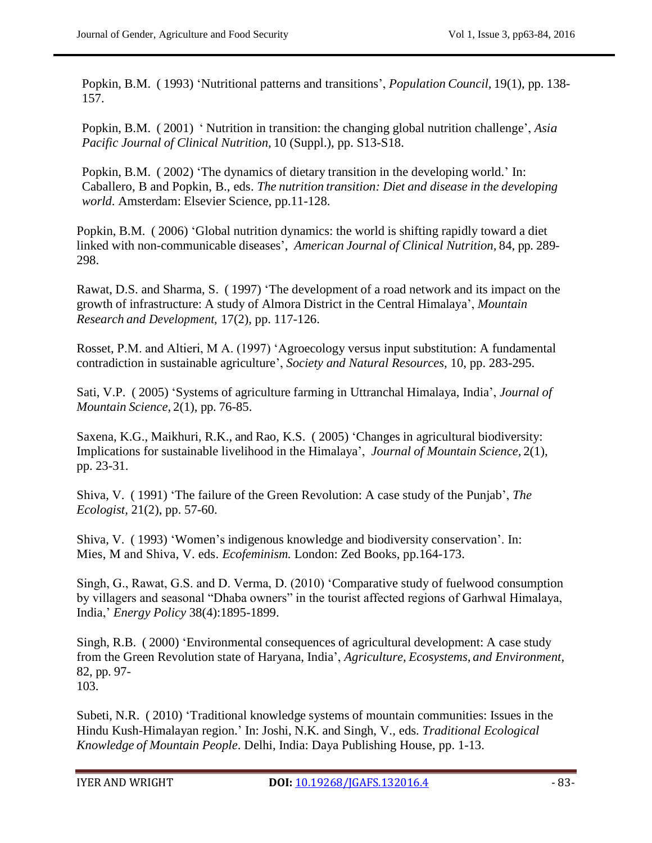Popkin, B.M. ( 1993) ‗Nutritional patterns and transitions', *Population Council,* 19(1), pp. 138- 157.

Popkin, B.M. ( 2001) ‗ Nutrition in transition: the changing global nutrition challenge', *Asia Pacific Journal of Clinical Nutrition,* 10 (Suppl.), pp. S13-S18.

Popkin, B.M. (2002) 'The dynamics of dietary transition in the developing world.' In: Caballero, B and Popkin, B., eds. *The nutrition transition: Diet and disease in the developing world*. Amsterdam: Elsevier Science, pp.11-128.

Popkin, B.M. (2006) 'Global nutrition dynamics: the world is shifting rapidly toward a diet linked with non-communicable diseases', *American Journal of Clinical Nutrition,* 84, pp. 289- 298.

Rawat, D.S. and Sharma, S. (1997) 'The development of a road network and its impact on the growth of infrastructure: A study of Almora District in the Central Himalaya', *Mountain Research and Development,* 17(2), pp. 117-126.

Rosset, P.M. and Altieri, M A. (1997) 'Agroecology versus input substitution: A fundamental contradiction in sustainable agriculture', *Society and Natural Resources,* 10, pp. 283-295.

Sati, V.P. ( 2005) ‗Systems of agriculture farming in Uttranchal Himalaya, India', *Journal of Mountain Science,* 2(1), pp. 76-85.

Saxena, K.G., Maikhuri, R.K., and Rao, K.S. ( 2005) ‗Changes in agricultural biodiversity: Implications for sustainable livelihood in the Himalaya', *Journal of Mountain Science,* 2(1), pp. 23-31.

Shiva, V. (1991) 'The failure of the Green Revolution: A case study of the Punjab', *The Ecologist,* 21(2), pp. 57-60.

Shiva, V. ( 1993) ‗Women's indigenous knowledge and biodiversity conservation'. In: Mies, M and Shiva, V. eds. *Ecofeminism.* London: Zed Books, pp.164-173.

Singh, G., Rawat, G.S. and D. Verma, D. (2010) 'Comparative study of fuelwood consumption by villagers and seasonal "Dhaba owners" in the tourist affected regions of Garhwal Himalaya, India,' *Energy Policy* 38(4):1895-1899.

Singh, R.B. (2000) 'Environmental consequences of agricultural development: A case study from the Green Revolution state of Haryana, India', *Agriculture, Ecosystems, and Environment,* 82, pp. 97- 103.

Subeti, N.R. (2010) 'Traditional knowledge systems of mountain communities: Issues in the Hindu Kush-Himalayan region.' In: Joshi, N.K. and Singh, V., eds. *Traditional Ecological Knowledge of Mountain People*. Delhi, India: Daya Publishing House, pp. 1-13.